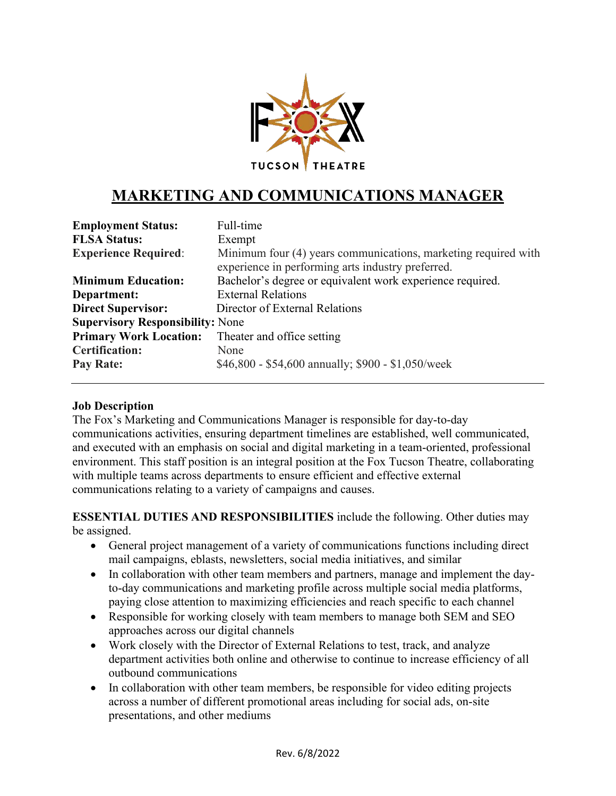

## **MARKETING AND COMMUNICATIONS MANAGER**

| <b>Employment Status:</b>               | Full-time                                                                                                           |
|-----------------------------------------|---------------------------------------------------------------------------------------------------------------------|
| <b>FLSA Status:</b>                     | Exempt                                                                                                              |
| <b>Experience Required:</b>             | Minimum four (4) years communications, marketing required with<br>experience in performing arts industry preferred. |
| <b>Minimum Education:</b>               | Bachelor's degree or equivalent work experience required.                                                           |
| Department:                             | <b>External Relations</b>                                                                                           |
| <b>Direct Supervisor:</b>               | Director of External Relations                                                                                      |
| <b>Supervisory Responsibility: None</b> |                                                                                                                     |
| <b>Primary Work Location:</b>           | Theater and office setting                                                                                          |
| <b>Certification:</b>                   | None                                                                                                                |
| Pay Rate:                               | \$46,800 - \$54,600 annually; \$900 - \$1,050/week                                                                  |

## **Job Description**

The Fox's Marketing and Communications Manager is responsible for day-to-day communications activities, ensuring department timelines are established, well communicated, and executed with an emphasis on social and digital marketing in a team-oriented, professional environment. This staff position is an integral position at the Fox Tucson Theatre, collaborating with multiple teams across departments to ensure efficient and effective external communications relating to a variety of campaigns and causes.

**ESSENTIAL DUTIES AND RESPONSIBILITIES** include the following. Other duties may be assigned.

- General project management of a variety of communications functions including direct mail campaigns, eblasts, newsletters, social media initiatives, and similar
- In collaboration with other team members and partners, manage and implement the dayto-day communications and marketing profile across multiple social media platforms, paying close attention to maximizing efficiencies and reach specific to each channel
- Responsible for working closely with team members to manage both SEM and SEO approaches across our digital channels
- Work closely with the Director of External Relations to test, track, and analyze department activities both online and otherwise to continue to increase efficiency of all outbound communications
- In collaboration with other team members, be responsible for video editing projects across a number of different promotional areas including for social ads, on-site presentations, and other mediums